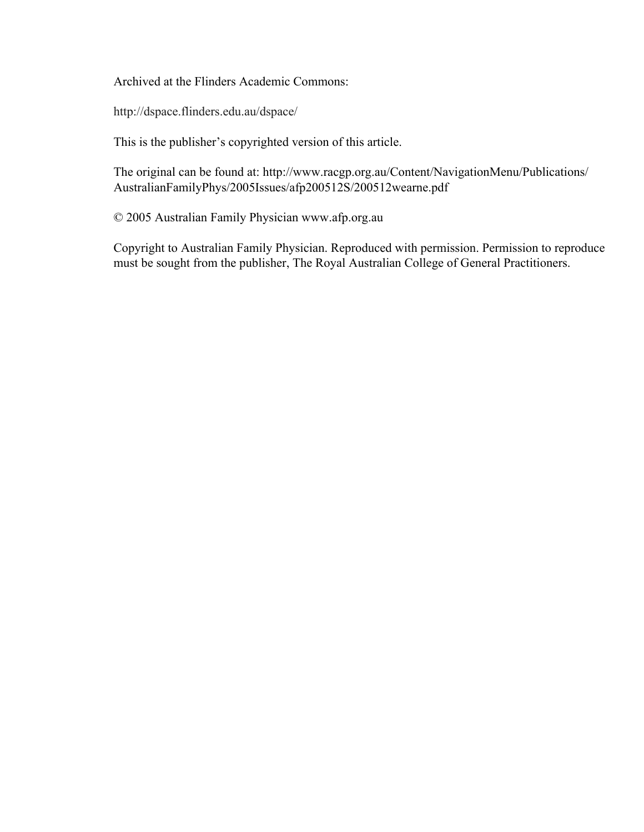Archived at the Flinders Academic Commons:

http://dspace.flinders.edu.au/dspace/

This is the publisher's copyrighted version of this article.

The original can be found at: http://www.racgp.org.au/Content/NavigationMenu/Publications/ AustralianFamilyPhys/2005Issues/afp200512S/200512wearne.pdf

© 2005 Australian Family Physician www.afp.org.au

Copyright to Australian Family Physician. Reproduced with permission. Permission to reproduce must be sought from the publisher, The Royal Australian College of General Practitioners.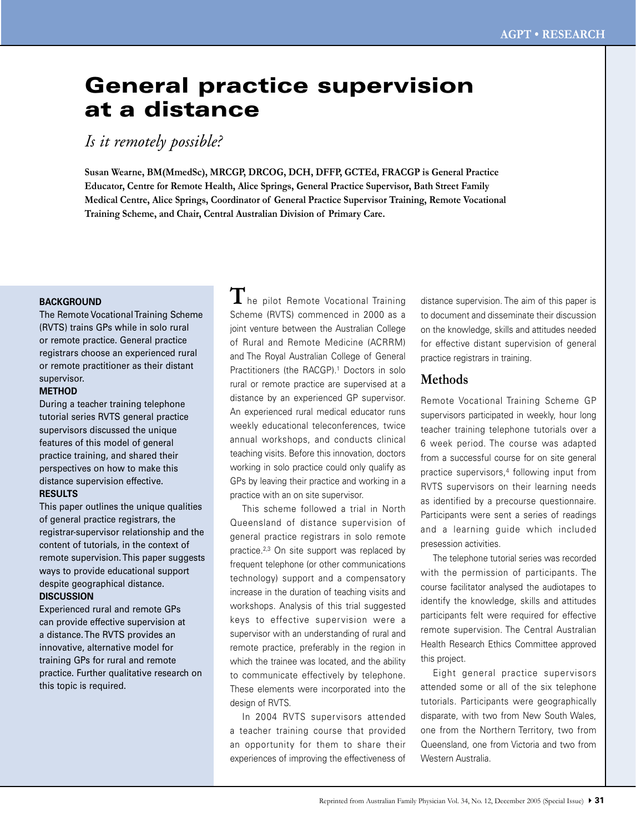# General practice supervision at a distance

*Is it remotely possible?*

**Susan Wearne, BM(MmedSc), MRCGP, DRCOG, DCH, DFFP, GCTEd, FRACGP is General Practice Educator, Centre for Remote Health, Alice Springs, General Practice Supervisor, Bath Street Family Medical Centre, Alice Springs, Coordinator of General Practice Supervisor Training, Remote Vocational Training Scheme, and Chair, Central Australian Division of Primary Care.**

## **BACKGROUND**

The Remote Vocational Training Scheme (RVTS) trains GPs while in solo rural or remote practice. General practice registrars choose an experienced rural or remote practitioner as their distant supervisor.

#### **METHOD**

During a teacher training telephone tutorial series RVTS general practice supervisors discussed the unique features of this model of general practice training, and shared their perspectives on how to make this distance supervision effective.

## **RESULTS**

This paper outlines the unique qualities of general practice registrars, the registrar-supervisor relationship and the content of tutorials, in the context of remote supervision. This paper suggests ways to provide educational support despite geographical distance.

## **DISCUSSION**

Experienced rural and remote GPs can provide effective supervision at a distance. The RVTS provides an innovative, alternative model for training GPs for rural and remote practice. Further qualitative research on this topic is required.

 $\mathbf{T}$ he pilot Remote Vocational Training Scheme (RVTS) commenced in 2000 as a joint venture between the Australian College of Rural and Remote Medicine (ACRRM) and The Royal Australian College of General Practitioners (the RACGP).<sup>1</sup> Doctors in solo rural or remote practice are supervised at a distance by an experienced GP supervisor. An experienced rural medical educator runs weekly educational teleconferences, twice annual workshops, and conducts clinical teaching visits. Before this innovation, doctors working in solo practice could only qualify as GPs by leaving their practice and working in a practice with an on site supervisor.

 This scheme followed a trial in North Queensland of distance supervision of general practice registrars in solo remote practice.<sup>2,3</sup> On site support was replaced by frequent telephone (or other communications technology) support and a compensatory increase in the duration of teaching visits and workshops. Analysis of this trial suggested keys to effective supervision were a supervisor with an understanding of rural and remote practice, preferably in the region in which the trainee was located, and the ability to communicate effectively by telephone. These elements were incorporated into the design of RVTS.

 In 2004 RVTS supervisors attended a teacher training course that provided an opportunity for them to share their experiences of improving the effectiveness of distance supervision. The aim of this paper is to document and disseminate their discussion on the knowledge, skills and attitudes needed for effective distant supervision of general practice registrars in training.

# **Methods**

Remote Vocational Training Scheme GP supervisors participated in weekly, hour long teacher training telephone tutorials over a 6 week period. The course was adapted from a successful course for on site general practice supervisors,<sup>4</sup> following input from RVTS supervisors on their learning needs as identified by a precourse questionnaire. Participants were sent a series of readings and a learning guide which included presession activities.

 The telephone tutorial series was recorded with the permission of participants. The course facilitator analysed the audiotapes to identify the knowledge, skills and attitudes participants felt were required for effective remote supervision. The Central Australian Health Research Ethics Committee approved this project.

 Eight general practice supervisors attended some or all of the six telephone tutorials. Participants were geographically disparate, with two from New South Wales, one from the Northern Territory, two from Queensland, one from Victoria and two from Western Australia.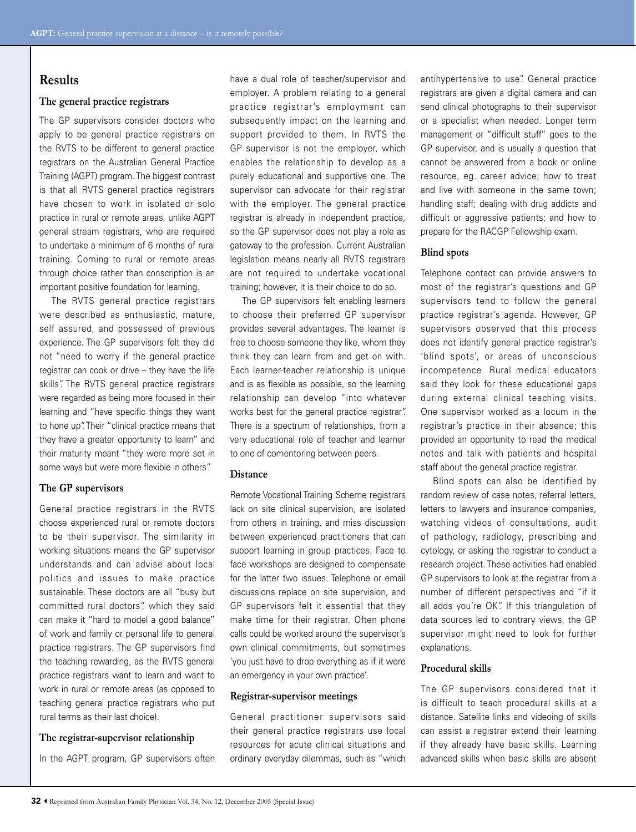# **Results**

## **The general practice registrars**

The GP supervisors consider doctors who apply to be general practice registrars on the RVTS to be different to general practice registrars on the Australian General Practice Training (AGPT) program. The biggest contrast is that all RVTS general practice registrars have chosen to work in isolated or solo practice in rural or remote areas, unlike AGPT general stream registrars, who are required to undertake a minimum of 6 months of rural training. Coming to rural or remote areas through choice rather than conscription is an important positive foundation for learning.

 The RVTS general practice registrars were described as enthusiastic, mature, self assured, and possessed of previous experience. The GP supervisors felt they did not "need to worry if the general practice registrar can cook or drive – they have the life skills". The RVTS general practice registrars were regarded as being more focused in their learning and "have specific things they want to hone up". Their "clinical practice means that they have a greater opportunity to learn" and their maturity meant "they were more set in some ways but were more flexible in others".

## **The GP supervisors**

General practice registrars in the RVTS choose experienced rural or remote doctors to be their supervisor. The similarity in working situations means the GP supervisor understands and can advise about local politics and issues to make practice sustainable. These doctors are all "busy but committed rural doctors", which they said can make it "hard to model a good balance" of work and family or personal life to general practice registrars. The GP supervisors find the teaching rewarding, as the RVTS general practice registrars want to learn and want to work in rural or remote areas (as opposed to teaching general practice registrars who put rural terms as their last choice).

## **The registrar-supervisor relationship**

In the AGPT program, GP supervisors often

have a dual role of teacher/supervisor and employer. A problem relating to a general practice registrar's employment can subsequently impact on the learning and support provided to them. In RVTS the GP supervisor is not the employer, which enables the relationship to develop as a purely educational and supportive one. The supervisor can advocate for their registrar with the employer. The general practice registrar is already in independent practice, so the GP supervisor does not play a role as gateway to the profession. Current Australian legislation means nearly all RVTS registrars are not required to undertake vocational training; however, it is their choice to do so.

 The GP supervisors felt enabling learners to choose their preferred GP supervisor provides several advantages. The learner is free to choose someone they like, whom they think they can learn from and get on with. Each learner-teacher relationship is unique and is as flexible as possible, so the learning relationship can develop "into whatever works best for the general practice registrar". There is a spectrum of relationships, from a very educational role of teacher and learner to one of comentoring between peers.

## **Distance**

Remote Vocational Training Scheme registrars lack on site clinical supervision, are isolated from others in training, and miss discussion between experienced practitioners that can support learning in group practices. Face to face workshops are designed to compensate for the latter two issues. Telephone or email discussions replace on site supervision, and GP supervisors felt it essential that they make time for their registrar. Often phone calls could be worked around the supervisor's own clinical commitments, but sometimes 'you just have to drop everything as if it were an emergency in your own practice'.

## **Registrar-supervisor meetings**

General practitioner supervisors said their general practice registrars use local resources for acute clinical situations and ordinary everyday dilemmas, such as "which

antihypertensive to use". General practice registrars are given a digital camera and can send clinical photographs to their supervisor or a specialist when needed. Longer term management or "difficult stuff" goes to the GP supervisor, and is usually a question that cannot be answered from a book or online resource, eg. career advice; how to treat and live with someone in the same town; handling staff; dealing with drug addicts and difficult or aggressive patients; and how to prepare for the RACGP Fellowship exam.

#### **Blind spots**

Telephone contact can provide answers to most of the registrar's questions and GP supervisors tend to follow the general practice registrar's agenda. However, GP supervisors observed that this process does not identify general practice registrar's 'blind spots', or areas of unconscious incompetence. Rural medical educators said they look for these educational gaps during external clinical teaching visits. One supervisor worked as a locum in the registrar's practice in their absence; this provided an opportunity to read the medical notes and talk with patients and hospital staff about the general practice registrar.

 Blind spots can also be identified by random review of case notes, referral letters, letters to lawyers and insurance companies, watching videos of consultations, audit of pathology, radiology, prescribing and cytology, or asking the registrar to conduct a research project. These activities had enabled GP supervisors to look at the registrar from a number of different perspectives and "if it all adds you're OK". If this triangulation of data sources led to contrary views, the GP supervisor might need to look for further explanations.

## **Procedural skills**

The GP supervisors considered that it is difficult to teach procedural skills at a distance. Satellite links and videoing of skills can assist a registrar extend their learning if they already have basic skills. Learning advanced skills when basic skills are absent